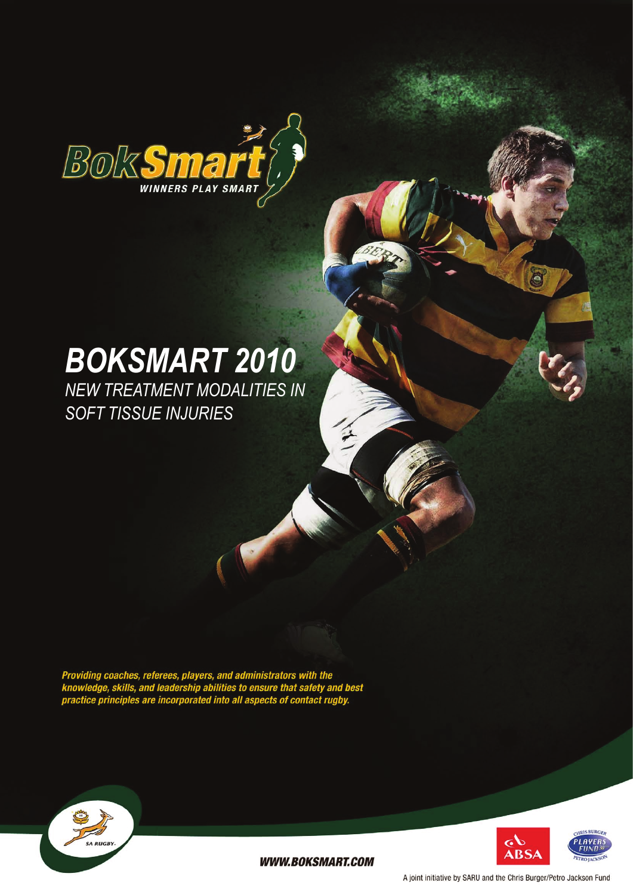

# *BokSmart 2010*

*New Treatment Modalities in Soft Tissue Injuries*

Providing coaches, referees, players, and administrators with the<br>knowledge, skills, and leadership abilities to ensure that safety and best<br>practice principles are incorporated into all aspects of contact rugby.





**WWW.BOKSMART.COM** 

A joint initiative by SARU and the Chris Burger/Petro Jackson Fund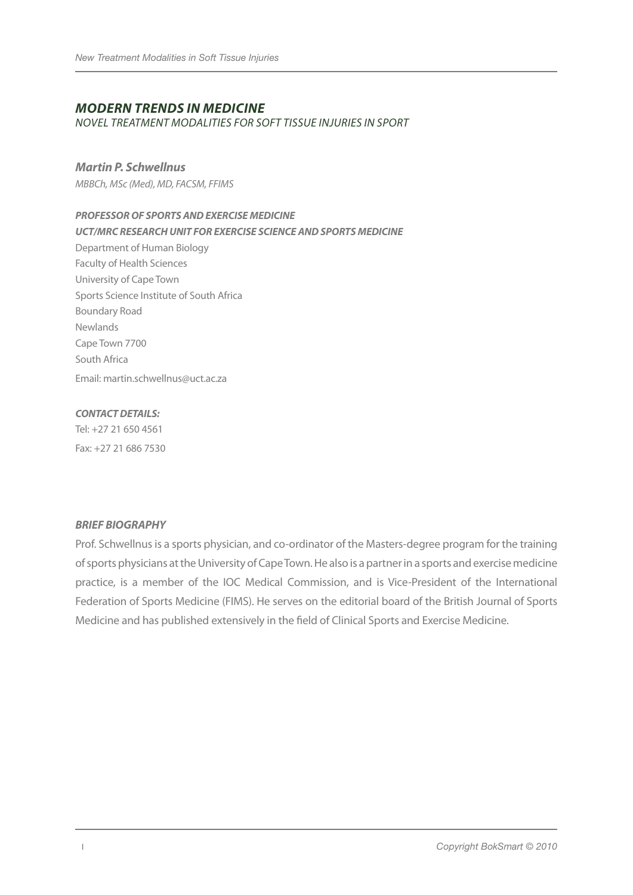## *Modern Trends in Medicine*

*Novel treatment modalities for soft tissue injuries in sport*

#### *Martin P. Schwellnus*

*MBBCh, MSc (Med), MD, FACSM, FFIMS*

#### *PROFESSOR OF SPORTS ANDEXERCISE MEDICINE*

*UCT/MRC RESEARCH UNIT FOR EXERCISE SCIENCE ANDSPORTS MEDICINE*

Department of Human Biology Faculty of Health Sciences University of Cape Town Sports Science Institute of South Africa Boundary Road Newlands Cape Town 7700 South Africa Email: martin.schwellnus@uct.ac.za

#### *CONTACT DETAILS:*

Tel: +27 21 650 4561 Fax: +27 21 686 7530

#### *BRIEF BIOGRAPHY*

Prof. Schwellnus is a sports physician, and co-ordinator of the Masters-degree program for the training of sports physicians at the University of Cape Town. He also is a partner in a sports and exercise medicine practice, is a member of the IOC Medical Commission, and is Vice-President of the International Federation of Sports Medicine (FIMS). He serves on the editorial board of the British Journal of Sports Medicine and has published extensively in the field of Clinical Sports and Exercise Medicine.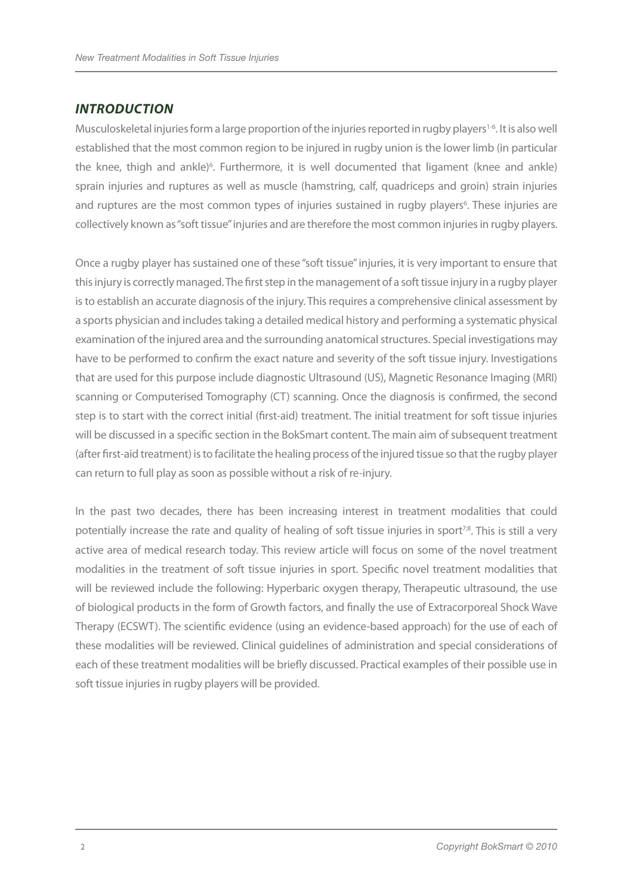## *INTRODUCTION*

Musculoskeletal injuries form a large proportion of the injuries reported in rugby players<sup>1-6</sup>. It is also well established that the most common region to be injured in rugby union is the lower limb (in particular the knee, thigh and ankle)<sup>6</sup>. Furthermore, it is well documented that ligament (knee and ankle) sprain injuries and ruptures as well as muscle (hamstring, calf, quadriceps and groin) strain injuries and ruptures are the most common types of injuries sustained in rugby players<sup>6</sup>. These injuries are collectively known as "soft tissue" injuries and are therefore the most common injuries in rugby players.

Once a rugby player has sustained one of these "soft tissue" injuries, it is very important to ensure that this injury is correctly managed. The first step in the management of a soft tissue injury in a rugby player is to establish an accurate diagnosis of the injury. This requires a comprehensive clinical assessment by a sports physician and includes taking a detailed medical history and performing a systematic physical examination of the injured area and the surrounding anatomical structures. Special investigations may have to be performed to confirm the exact nature and severity of the soft tissue injury. Investigations that are used for this purpose include diagnostic Ultrasound (US), Magnetic Resonance Imaging (MRI) scanning or Computerised Tomography (CT) scanning. Once the diagnosis is confirmed, the second step is to start with the correct initial (first-aid) treatment. The initial treatment for soft tissue injuries will be discussed in a specific section in the BokSmart content. The main aim of subsequent treatment (after first-aid treatment) is to facilitate the healing process of the injured tissue so that the rugby player can return to full play as soon as possible without a risk of re-injury.

In the past two decades, there has been increasing interest in treatment modalities that could potentially increase the rate and quality of healing of soft tissue injuries in sport<sup>7;8</sup>. This is still a very active area of medical research today. This review article will focus on some of the novel treatment modalities in the treatment of soft tissue injuries in sport. Specific novel treatment modalities that will be reviewed include the following: Hyperbaric oxygen therapy, Therapeutic ultrasound, the use of biological products in the form of Growth factors, and finally the use of Extracorporeal Shock Wave Therapy (ECSWT). The scientific evidence (using an evidence-based approach) for the use of each of these modalities will be reviewed. Clinical guidelines of administration and special considerations of each of these treatment modalities will be briefly discussed. Practical examples of their possible use in soft tissue injuries in rugby players will be provided.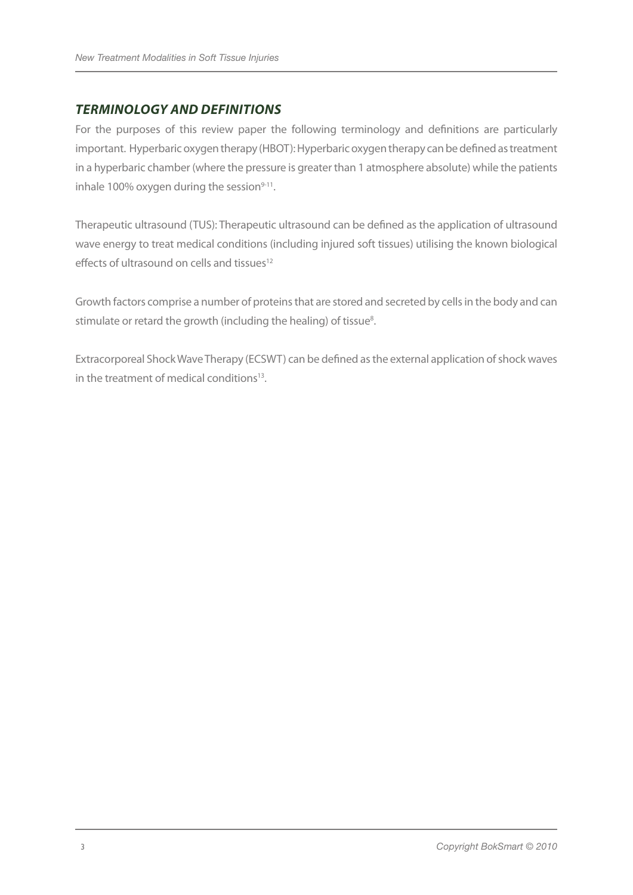## *TERMINOLOGY AND DEFINITIONS*

For the purposes of this review paper the following terminology and definitions are particularly important. Hyperbaric oxygen therapy (HBOT): Hyperbaric oxygen therapy can be defined as treatment in a hyperbaric chamber (where the pressure is greater than 1 atmosphere absolute) while the patients inhale 100% oxygen during the session $9-11$ .

Therapeutic ultrasound (TUS): Therapeutic ultrasound can be defined as the application of ultrasound wave energy to treat medical conditions (including injured soft tissues) utilising the known biological effects of ultrasound on cells and tissues<sup>12</sup>

Growth factors comprise a number of proteins that are stored and secreted by cells in the body and can stimulate or retard the growth (including the healing) of tissue<sup>8</sup>.

Extracorporeal Shock Wave Therapy (ECSWT) can be defined as the external application of shock waves in the treatment of medical conditions<sup>13</sup>.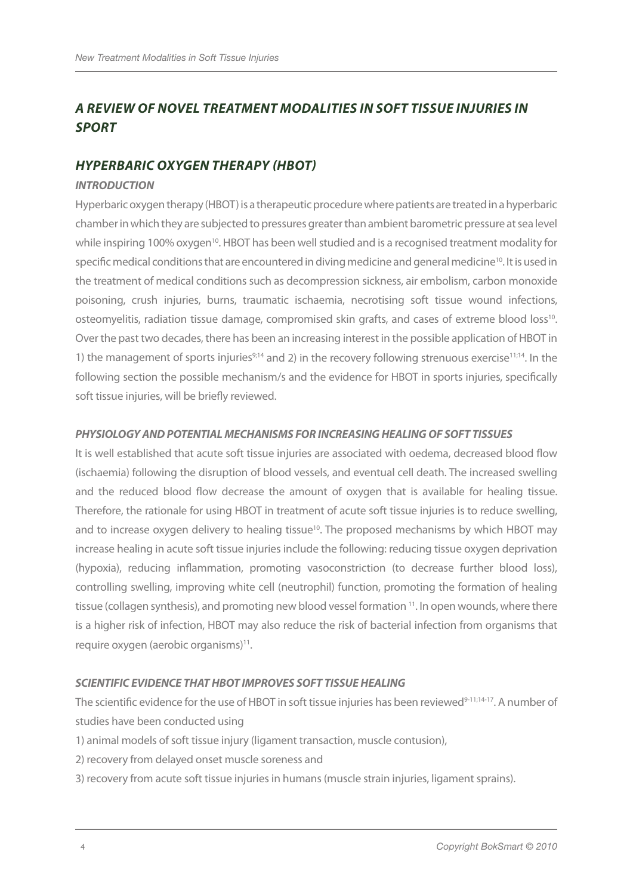## *A REVIEW OF NOVEL TREATMENT MODALITIES IN SOFT TISSUE INJURIES IN SPORT*

## *HYPERBARIC OXYGEN THERAPY (HBOT)*

#### *INTRODUCTION*

Hyperbaric oxygen therapy (HBOT) is a therapeutic procedure where patients are treated in a hyperbaric chamber in which they are subjected to pressures greater than ambient barometric pressure at sea level while inspiring 100% oxygen<sup>10</sup>. HBOT has been well studied and is a recognised treatment modality for specific medical conditions that are encountered in diving medicine and general medicine<sup>10</sup>. It is used in the treatment of medical conditions such as decompression sickness, air embolism, carbon monoxide poisoning, crush injuries, burns, traumatic ischaemia, necrotising soft tissue wound infections, osteomyelitis, radiation tissue damage, compromised skin grafts, and cases of extreme blood loss<sup>10</sup>. Over the past two decades, there has been an increasing interest in the possible application of HBOT in 1) the management of sports injuries<sup>9;14</sup> and 2) in the recovery following strenuous exercise<sup>11;14</sup>. In the following section the possible mechanism/s and the evidence for HBOT in sports injuries, specifically soft tissue injuries, will be briefly reviewed.

#### *PHYSIOLOGY AND POTENTIAL MECHANISMS FOR INCREASING HEALING OF SOFT TISSUES*

It is well established that acute soft tissue injuries are associated with oedema, decreased blood flow (ischaemia) following the disruption of blood vessels, and eventual cell death. The increased swelling and the reduced blood flow decrease the amount of oxygen that is available for healing tissue. Therefore, the rationale for using HBOT in treatment of acute soft tissue injuries is to reduce swelling, and to increase oxygen delivery to healing tissue<sup>10</sup>. The proposed mechanisms by which HBOT may increase healing in acute soft tissue injuries include the following: reducing tissue oxygen deprivation (hypoxia), reducing inflammation, promoting vasoconstriction (to decrease further blood loss), controlling swelling, improving white cell (neutrophil) function, promoting the formation of healing tissue (collagen synthesis), and promoting new blood vessel formation <sup>11</sup>. In open wounds, where there is a higher risk of infection, HBOT may also reduce the risk of bacterial infection from organisms that require oxygen (aerobic organisms)<sup>11</sup>.

## *SCIENTIFIC EVIDENCE THAT HBOT IMPROVES SOFT TISSUE HEALING*

The scientific evidence for the use of HBOT in soft tissue injuries has been reviewed<sup>9-11;14-17</sup>. A number of studies have been conducted using

- 1) animal models of soft tissue injury (ligament transaction, muscle contusion),
- 2) recovery from delayed onset muscle soreness and
- 3) recovery from acute soft tissue injuries in humans (muscle strain injuries, ligament sprains).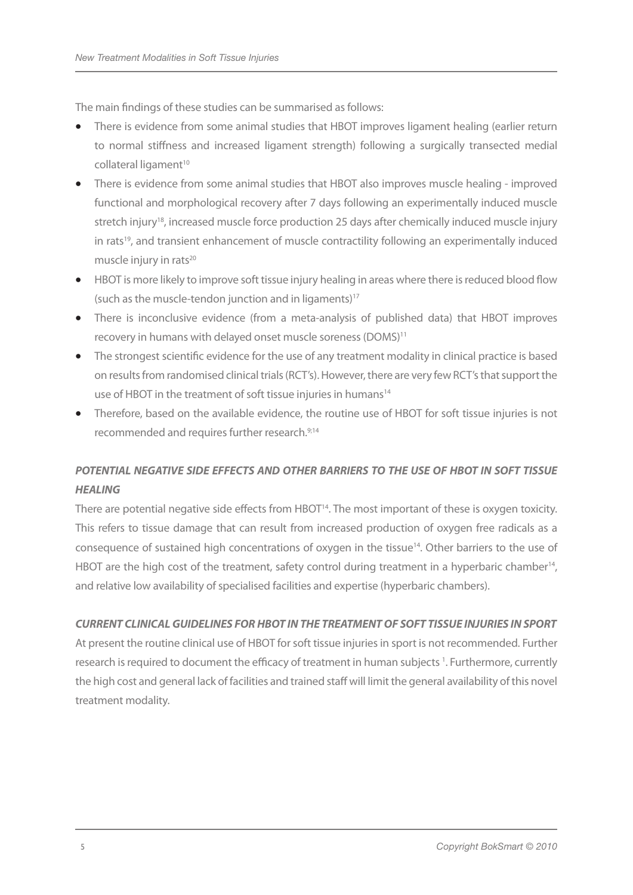The main findings of these studies can be summarised as follows:

- There is evidence from some animal studies that HBOT improves ligament healing (earlier return to normal stiffness and increased ligament strength) following a surgically transected medial collateral ligament<sup>10</sup>
- There is evidence from some animal studies that HBOT also improves muscle healing improved functional and morphological recovery after 7 days following an experimentally induced muscle stretch injury<sup>18</sup>, increased muscle force production 25 days after chemically induced muscle injury in rats<sup>19</sup>, and transient enhancement of muscle contractility following an experimentally induced muscle injury in rats<sup>20</sup>
- HBOT is more likely to improve soft tissue injury healing in areas where there is reduced blood flow (such as the muscle-tendon junction and in ligaments) $17$
- There is inconclusive evidence (from a meta-analysis of published data) that HBOT improves recovery in humans with delayed onset muscle soreness (DOMS)<sup>11</sup>
- The strongest scientific evidence for the use of any treatment modality in clinical practice is based on results from randomised clinical trials (RCT's). However, there are very few RCT's that support the use of HBOT in the treatment of soft tissue injuries in humans<sup>14</sup>
- Therefore, based on the available evidence, the routine use of HBOT for soft tissue injuries is not recommended and requires further research.9;14

## *POTENTIAL NEGATIVE SIDE EFFECTS AND OTHER BARRIERS TO THE USE OF HBOT IN SOFT TISSUE HEALING*

There are potential negative side effects from HBOT<sup>14</sup>. The most important of these is oxygen toxicity. This refers to tissue damage that can result from increased production of oxygen free radicals as a consequence of sustained high concentrations of oxygen in the tissue<sup>14</sup>. Other barriers to the use of HBOT are the high cost of the treatment, safety control during treatment in a hyperbaric chamber<sup>14</sup>, and relative low availability of specialised facilities and expertise (hyperbaric chambers).

## *CURRENT CLINICAL GUIDELINES FOR HBOT IN THE TREATMENT OF SOFT TISSUE INJURIES INSPORT*

At present the routine clinical use of HBOT for soft tissue injuries in sport is not recommended. Further research is required to document the efficacy of treatment in human subjects<sup>1</sup>. Furthermore, currently the high cost and general lack of facilities and trained staff will limit the general availability of this novel treatment modality.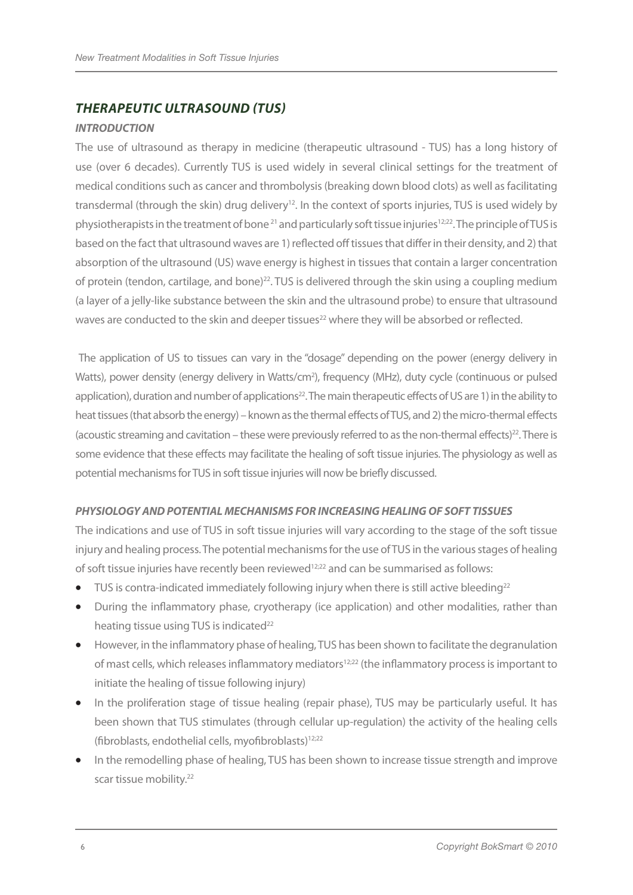## *THERAPEUTIC ULTRASOUND (TUS)*

#### *INTRODUCTION*

The use of ultrasound as therapy in medicine (therapeutic ultrasound - TUS) has a long history of use (over 6 decades). Currently TUS is used widely in several clinical settings for the treatment of medical conditions such as cancer and thrombolysis (breaking down blood clots) as well as facilitating transdermal (through the skin) drug delivery<sup>12</sup>. In the context of sports injuries, TUS is used widely by physiotherapists in the treatment of bone<sup>21</sup> and particularly soft tissue injuries<sup>12;22</sup>. The principle of TUS is based on the fact that ultrasound waves are 1) reflected off tissues that differ in their density, and 2) that absorption of the ultrasound (US) wave energy is highest in tissues that contain a larger concentration of protein (tendon, cartilage, and bone)<sup>22</sup>. TUS is delivered through the skin using a coupling medium (a layer of a jelly-like substance between the skin and the ultrasound probe) to ensure that ultrasound waves are conducted to the skin and deeper tissues<sup>22</sup> where they will be absorbed or reflected.

 The application of US to tissues can vary in the "dosage" depending on the power (energy delivery in Watts), power density (energy delivery in Watts/cm<sup>2</sup>), frequency (MHz), duty cycle (continuous or pulsed application), duration and number of applications<sup>22</sup>. The main therapeutic effects of US are 1) in the ability to heat tissues (that absorb the energy) – known as the thermal effects of TUS, and 2) the micro-thermal effects (acoustic streaming and cavitation – these were previously referred to as the non-thermal effects)<sup>22</sup>. There is some evidence that these effects may facilitate the healing of soft tissue injuries. The physiology as well as potential mechanisms for TUS in soft tissue injuries will now be briefly discussed.

## *PHYSIOLOGY AND POTENTIAL MECHANISMS FOR INCREASING HEALING OF SOFT TISSUES*

The indications and use of TUS in soft tissue injuries will vary according to the stage of the soft tissue injury and healing process. The potential mechanisms for the use of TUS in the various stages of healing of soft tissue injuries have recently been reviewed12;22 and can be summarised as follows:

- TUS is contra-indicated immediately following injury when there is still active bleeding<sup>22</sup>
- During the inflammatory phase, cryotherapy (ice application) and other modalities, rather than heating tissue using TUS is indicated<sup>22</sup>
- However, in the inflammatory phase of healing, TUS has been shown to facilitate the degranulation of mast cells, which releases inflammatory mediators<sup>12;22</sup> (the inflammatory process is important to initiate the healing of tissue following injury)
- In the proliferation stage of tissue healing (repair phase), TUS may be particularly useful. It has been shown that TUS stimulates (through cellular up-regulation) the activity of the healing cells (fibroblasts, endothelial cells, myofibroblasts)<sup>12;22</sup>
- In the remodelling phase of healing, TUS has been shown to increase tissue strength and improve scar tissue mobility.<sup>22</sup>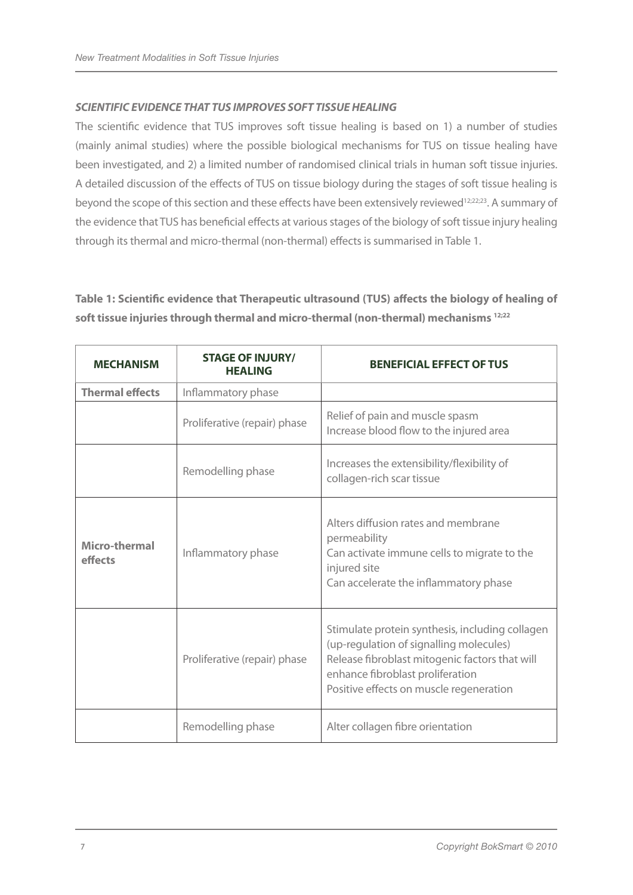## *SCIENTIFIC EVIDENCE THAT TUS IMPROVES SOFT TISSUE HEALING*

The scientific evidence that TUS improves soft tissue healing is based on 1) a number of studies (mainly animal studies) where the possible biological mechanisms for TUS on tissue healing have been investigated, and 2) a limited number of randomised clinical trials in human soft tissue injuries. A detailed discussion of the effects of TUS on tissue biology during the stages of soft tissue healing is beyond the scope of this section and these effects have been extensively reviewed<sup>12;22;23</sup>. A summary of the evidence that TUS has beneficial effects at various stages of the biology of soft tissue injury healing through its thermal and micro-thermal (non-thermal) effects is summarised in Table 1.

**Table 1: Scientific evidence that Therapeutic ultrasound (TUS) affects the biology of healing of soft tissue injuries through thermal and micro-thermal (non-thermal) mechanisms 12;22**

| <b>MECHANISM</b>                | <b>STAGE OF INJURY/</b><br><b>HEALING</b> | <b>BENEFICIAL EFFECT OF TUS</b>                                                                                                                                                                                             |  |  |
|---------------------------------|-------------------------------------------|-----------------------------------------------------------------------------------------------------------------------------------------------------------------------------------------------------------------------------|--|--|
| <b>Thermal effects</b>          | Inflammatory phase                        |                                                                                                                                                                                                                             |  |  |
|                                 | Proliferative (repair) phase              | Relief of pain and muscle spasm<br>Increase blood flow to the injured area                                                                                                                                                  |  |  |
|                                 | Remodelling phase                         | Increases the extensibility/flexibility of<br>collagen-rich scar tissue                                                                                                                                                     |  |  |
| <b>Micro-thermal</b><br>effects | Inflammatory phase                        | Alters diffusion rates and membrane<br>permeability<br>Can activate immune cells to migrate to the<br>injured site<br>Can accelerate the inflammatory phase                                                                 |  |  |
| Proliferative (repair) phase    |                                           | Stimulate protein synthesis, including collagen<br>(up-regulation of signalling molecules)<br>Release fibroblast mitogenic factors that will<br>enhance fibroblast proliferation<br>Positive effects on muscle regeneration |  |  |
|                                 | Remodelling phase                         | Alter collagen fibre orientation                                                                                                                                                                                            |  |  |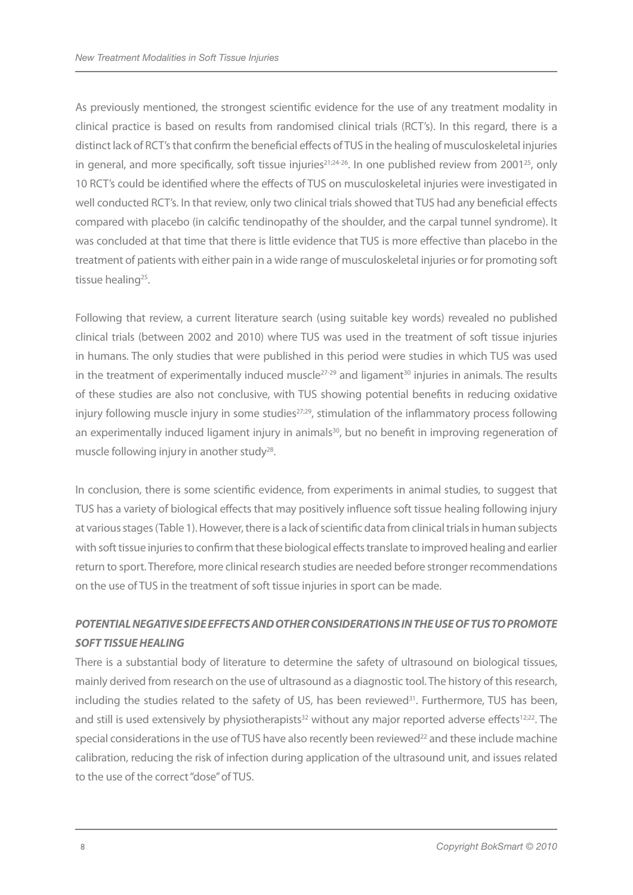As previously mentioned, the strongest scientific evidence for the use of any treatment modality in clinical practice is based on results from randomised clinical trials (RCT's). In this regard, there is a distinct lack of RCT's that confirm the beneficial effects of TUS in the healing of musculoskeletal injuries in general, and more specifically, soft tissue injuries<sup>21;24-26</sup>. In one published review from 2001<sup>25</sup>, only 10 RCT's could be identified where the effects of TUS on musculoskeletal injuries were investigated in well conducted RCT's. In that review, only two clinical trials showed that TUS had any beneficial effects compared with placebo (in calcific tendinopathy of the shoulder, and the carpal tunnel syndrome). It was concluded at that time that there is little evidence that TUS is more effective than placebo in the treatment of patients with either pain in a wide range of musculoskeletal injuries or for promoting soft tissue healing<sup>25</sup>.

Following that review, a current literature search (using suitable key words) revealed no published clinical trials (between 2002 and 2010) where TUS was used in the treatment of soft tissue injuries in humans. The only studies that were published in this period were studies in which TUS was used in the treatment of experimentally induced muscle<sup>27-29</sup> and ligament<sup>30</sup> injuries in animals. The results of these studies are also not conclusive, with TUS showing potential benefits in reducing oxidative injury following muscle injury in some studies $27,29$ , stimulation of the inflammatory process following an experimentally induced ligament injury in animals<sup>30</sup>, but no benefit in improving regeneration of muscle following injury in another study<sup>28</sup>.

In conclusion, there is some scientific evidence, from experiments in animal studies, to suggest that TUS has a variety of biological effects that may positively influence soft tissue healing following injury at various stages (Table 1). However, there is a lack of scientific data from clinical trials in human subjects with soft tissue injuries to confirm that these biological effects translate to improved healing and earlier return to sport. Therefore, more clinical research studies are needed before stronger recommendations on the use of TUS in the treatment of soft tissue injuries in sport can be made.

## *POTENTIAL NEGATIVESIDEEFFECTS ANDOTHERCONSIDERATIONSIN THE USEOF TUS TO PROMOTE SOFT TISSUE HEALING*

There is a substantial body of literature to determine the safety of ultrasound on biological tissues, mainly derived from research on the use of ultrasound as a diagnostic tool. The history of this research, including the studies related to the safety of US, has been reviewed $31$ . Furthermore, TUS has been, and still is used extensively by physiotherapists<sup>32</sup> without any major reported adverse effects<sup>12;22</sup>. The special considerations in the use of TUS have also recently been reviewed<sup>22</sup> and these include machine calibration, reducing the risk of infection during application of the ultrasound unit, and issues related to the use of the correct "dose" of TUS.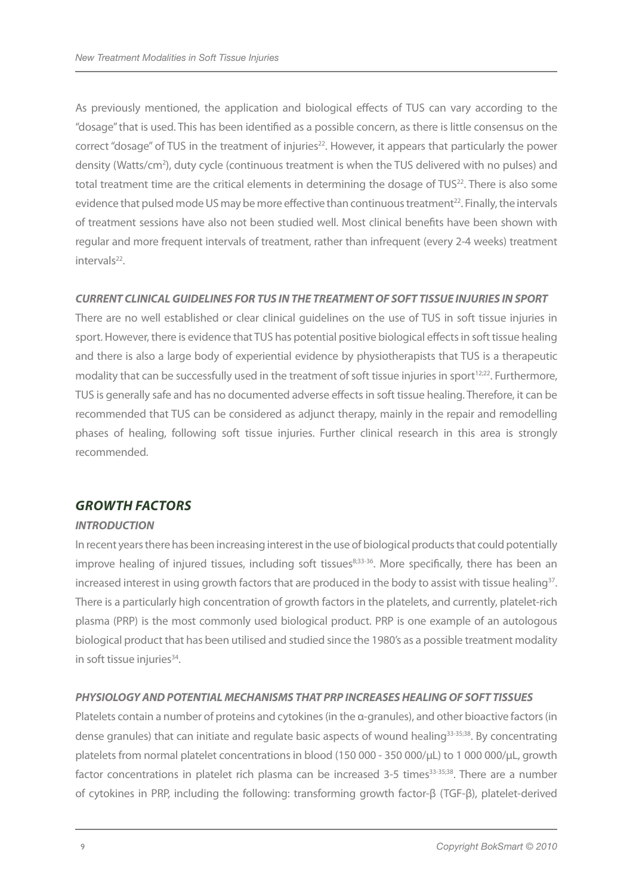As previously mentioned, the application and biological effects of TUS can vary according to the "dosage" that is used. This has been identified as a possible concern, as there is little consensus on the correct "dosage" of TUS in the treatment of injuries<sup>22</sup>. However, it appears that particularly the power density (Watts/cm<sup>2</sup>), duty cycle (continuous treatment is when the TUS delivered with no pulses) and total treatment time are the critical elements in determining the dosage of TUS<sup>22</sup>. There is also some evidence that pulsed mode US may be more effective than continuous treatment<sup>22</sup>. Finally, the intervals of treatment sessions have also not been studied well. Most clinical benefits have been shown with regular and more frequent intervals of treatment, rather than infrequent (every 2-4 weeks) treatment intervals<sup>22</sup>.

#### *CURRENT CLINICAL GUIDELINES FOR TUS IN THE TREATMENT OF SOFT TISSUE INJURIES INSPORT*

There are no well established or clear clinical guidelines on the use of TUS in soft tissue injuries in sport. However, there is evidence that TUS has potential positive biological effects in soft tissue healing and there is also a large body of experiential evidence by physiotherapists that TUS is a therapeutic modality that can be successfully used in the treatment of soft tissue injuries in sport<sup>12;22</sup>. Furthermore, TUS is generally safe and has no documented adverse effects in soft tissue healing. Therefore, it can be recommended that TUS can be considered as adjunct therapy, mainly in the repair and remodelling phases of healing, following soft tissue injuries. Further clinical research in this area is strongly recommended.

## *GROWTH FACTORS*

## *INTRODUCTION*

In recent years there has been increasing interest in the use of biological products that could potentially improve healing of injured tissues, including soft tissues<sup>8;33-36</sup>. More specifically, there has been an increased interest in using growth factors that are produced in the body to assist with tissue healing<sup>37</sup>. There is a particularly high concentration of growth factors in the platelets, and currently, platelet-rich plasma (PRP) is the most commonly used biological product. PRP is one example of an autologous biological product that has been utilised and studied since the 1980's as a possible treatment modality in soft tissue injuries<sup>34</sup>.

## *PHYSIOLOGY AND POTENTIAL MECHANISMS THAT PRP INCREASES HEALING OF SOFT TISSUES*

Platelets contain a number of proteins and cytokines (in the α-granules), and other bioactive factors (in dense granules) that can initiate and regulate basic aspects of wound healing<sup>33-35;38</sup>. By concentrating platelets from normal platelet concentrations in blood (150 000 - 350 000/µL) to 1 000 000/µL, growth factor concentrations in platelet rich plasma can be increased 3-5 times<sup>33-35;38</sup>. There are a number of cytokines in PRP, including the following: transforming growth factor-β (TGF-β), platelet-derived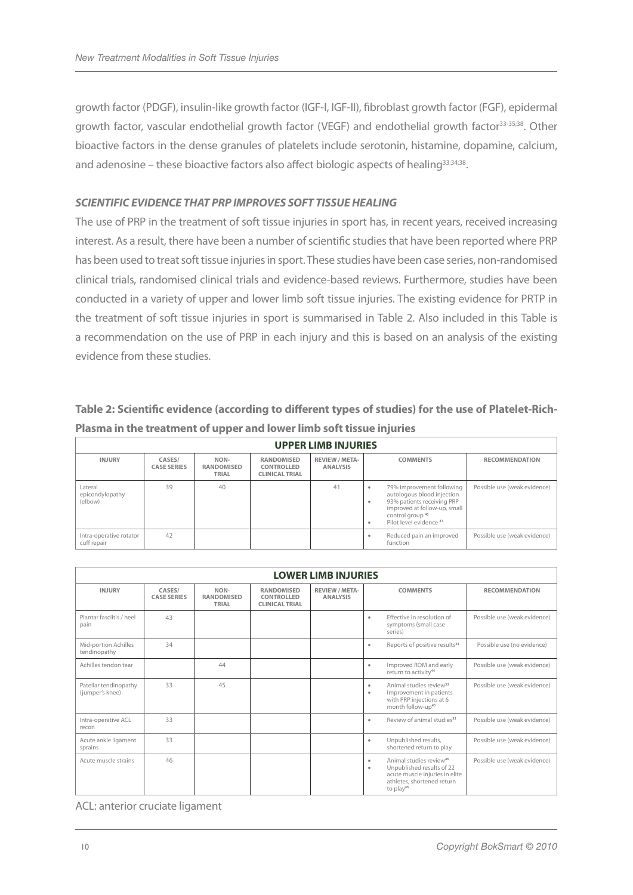growth factor (PDGF), insulin-like growth factor (IGF-I, IGF-II), fibroblast growth factor (FGF), epidermal growth factor, vascular endothelial growth factor (VEGF) and endothelial growth factor<sup>33-35;38</sup>. Other bioactive factors in the dense granules of platelets include serotonin, histamine, dopamine, calcium, and adenosine – these bioactive factors also affect biologic aspects of healing<sup>33;34;38</sup>.

#### *SCIENTIFIC EVIDENCE THAT PRP IMPROVES SOFT TISSUE HEALING*

The use of PRP in the treatment of soft tissue injuries in sport has, in recent years, received increasing interest. As a result, there have been a number of scientific studies that have been reported where PRP has been used to treat soft tissue injuries in sport. These studies have been case series, non-randomised clinical trials, randomised clinical trials and evidence-based reviews. Furthermore, studies have been conducted in a variety of upper and lower limb soft tissue injuries. The existing evidence for PRTP in the treatment of soft tissue injuries in sport is summarised in Table 2. Also included in this Table is a recommendation on the use of PRP in each injury and this is based on an analysis of the existing evidence from these studies.

## **Table 2: Scientific evidence (according to different types of studies) for the use of Platelet-Rich-Plasma in the treatment of upper and lower limb soft tissue injuries**

| <b>UPPER LIMB INJURIES</b>             |                              |                                    |                                                   |                                   |                                                                                                                                                                                                              |                              |  |
|----------------------------------------|------------------------------|------------------------------------|---------------------------------------------------|-----------------------------------|--------------------------------------------------------------------------------------------------------------------------------------------------------------------------------------------------------------|------------------------------|--|
| <b>INJURY</b>                          | CASES/<br><b>CASE SERIES</b> | NON-<br><b>RANDOMISED</b><br>TRIAL | RANDOMISED<br>CONTROLLED<br><b>CLINICAL TRIAL</b> | REVIEW / META-<br><b>ANALYSIS</b> | <b>COMMENTS</b>                                                                                                                                                                                              | <b>RECOMMENDATION</b>        |  |
| Lateral<br>epicondylopathy<br>(elbow)  | 39                           | 40                                 |                                                   | 41                                | 79% improvement following<br>autologous blood injection<br>93% patients receiving PRP<br>$\blacksquare$<br>improved at follow-up, small<br>control group <sup>40</sup><br>Pilot level evidence <sup>41</sup> | Possible use (weak evidence) |  |
| Intra-operative rotator<br>cuff repair | 42                           |                                    |                                                   |                                   | Reduced pain an improved<br>function                                                                                                                                                                         | Possible use (weak evidence) |  |

| <b>LOWER LIMB INJURIES</b>               |                              |                                    |                                                          |                                          |                                                                                                                                                                                                           |  |
|------------------------------------------|------------------------------|------------------------------------|----------------------------------------------------------|------------------------------------------|-----------------------------------------------------------------------------------------------------------------------------------------------------------------------------------------------------------|--|
| <b>INJURY</b>                            | CASES/<br><b>CASE SERIES</b> | NON-<br><b>RANDOMISED</b><br>TRIAL | <b>RANDOMISED</b><br>CONTROLLED<br><b>CLINICAL TRIAL</b> | <b>REVIEW / META-</b><br><b>ANALYSIS</b> | <b>RECOMMENDATION</b><br><b>COMMENTS</b>                                                                                                                                                                  |  |
| Plantar fasciitis / heel<br>pain         | 43                           |                                    |                                                          |                                          | Effective in resolution of<br>Possible use (weak evidence)<br>$\bullet$<br>symptoms (small case<br>series)                                                                                                |  |
| Mid-portion Achilles<br>tendinopathy     | 34                           |                                    |                                                          |                                          | Reports of positive results <sup>34</sup><br>Possible use (no evidence)<br>$\bullet$                                                                                                                      |  |
| Achilles tendon tear                     |                              | 44                                 |                                                          |                                          | Improved ROM and early<br>Possible use (weak evidence)<br>$\bullet$<br>return to activity <sup>44</sup>                                                                                                   |  |
| Patellar tendinopathy<br>(jumper's knee) | 33                           | 45                                 |                                                          |                                          | Animal studies review <sup>33</sup><br>Possible use (weak evidence)<br>$\bullet$<br>Improvement in patients<br>$\bullet$<br>with PRP injections at 6<br>month follow-up <sup>45</sup>                     |  |
| Intra-operative ACL<br>recon             | 33                           |                                    |                                                          |                                          | Review of animal studies <sup>33</sup><br>Possible use (weak evidence)<br>$\bullet$                                                                                                                       |  |
| Acute ankle ligament<br>sprains          | 33                           |                                    |                                                          |                                          | Unpublished results,<br>Possible use (weak evidence)<br>$\bullet$<br>shortened return to play                                                                                                             |  |
| Acute muscle strains                     | 46                           |                                    |                                                          |                                          | Animal studies review <sup>46</sup><br>Possible use (weak evidence)<br>$\bullet$<br>Unpublished results of 22<br>$\bullet$<br>acute muscle injuries in elite<br>athletes, shortened return<br>to $play46$ |  |

ACL: anterior cruciate ligament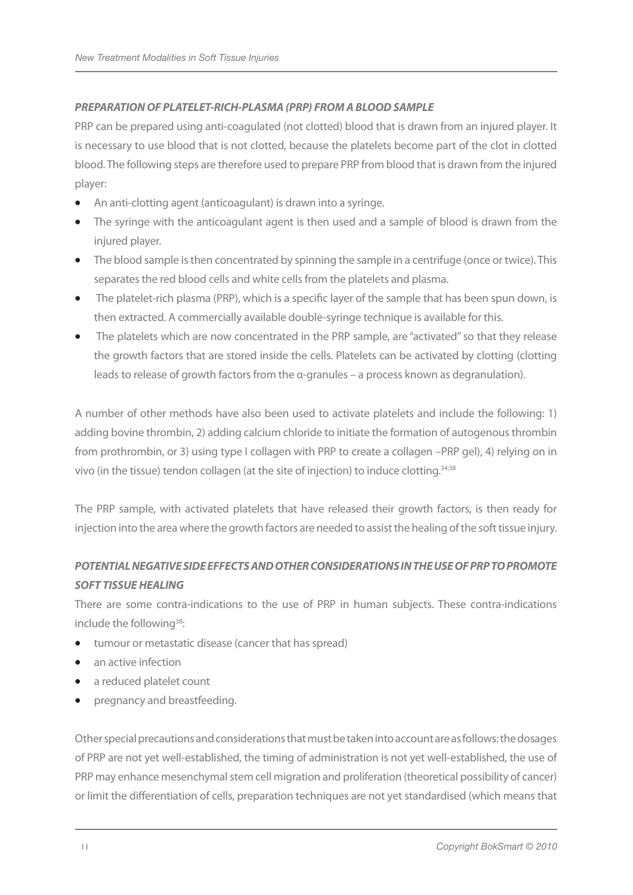## *PREPARATION OF PLATELET-RICH-PLASMA (PRP) FROM A BLOODSAMPLE*

PRP can be prepared using anti-coagulated (not clotted) blood that is drawn from an injured player. It is necessary to use blood that is not clotted, because the platelets become part of the clot in clotted blood. The following steps are therefore used to prepare PRP from blood that is drawn from the injured player:

- An anti-clotting agent (anticoagulant) is drawn into a syringe.
- The syringe with the anticoagulant agent is then used and a sample of blood is drawn from the injured player.
- The blood sample is then concentrated by spinning the sample in a centrifuge (once or twice). This separates the red blood cells and white cells from the platelets and plasma.
- The platelet-rich plasma (PRP), which is a specific layer of the sample that has been spun down, is then extracted. A commercially available double-syringe technique is available for this.
- The platelets which are now concentrated in the PRP sample, are "activated" so that they release the growth factors that are stored inside the cells. Platelets can be activated by clotting (clotting leads to release of growth factors from the α-granules – a process known as degranulation).

A number of other methods have also been used to activate platelets and include the following: 1) adding bovine thrombin, 2) adding calcium chloride to initiate the formation of autogenous thrombin from prothrombin, or 3) using type I collagen with PRP to create a collagen –PRP gel), 4) relying on in vivo (in the tissue) tendon collagen (at the site of injection) to induce clotting.34;38

The PRP sample, with activated platelets that have released their growth factors, is then ready for injection into the area where the growth factors are needed to assist the healing of the soft tissue injury.

## *POTENTIAL NEGATIVESIDEEFFECTS ANDOTHERCONSIDERATIONSIN THE USEOF PRP TO PROMOTE SOFT TISSUE HEALING*

There are some contra-indications to the use of PRP in human subjects. These contra-indications include the following<sup>38</sup>:

- tumour or metastatic disease (cancer that has spread)
- an active infection
- a reduced platelet count
- pregnancy and breastfeeding.

Other special precautions and considerations that must be taken into account are as follows: the dosages of PRP are not yet well-established, the timing of administration is not yet well-established, the use of PRP may enhance mesenchymal stem cell migration and proliferation (theoretical possibility of cancer) or limit the differentiation of cells, preparation techniques are not yet standardised (which means that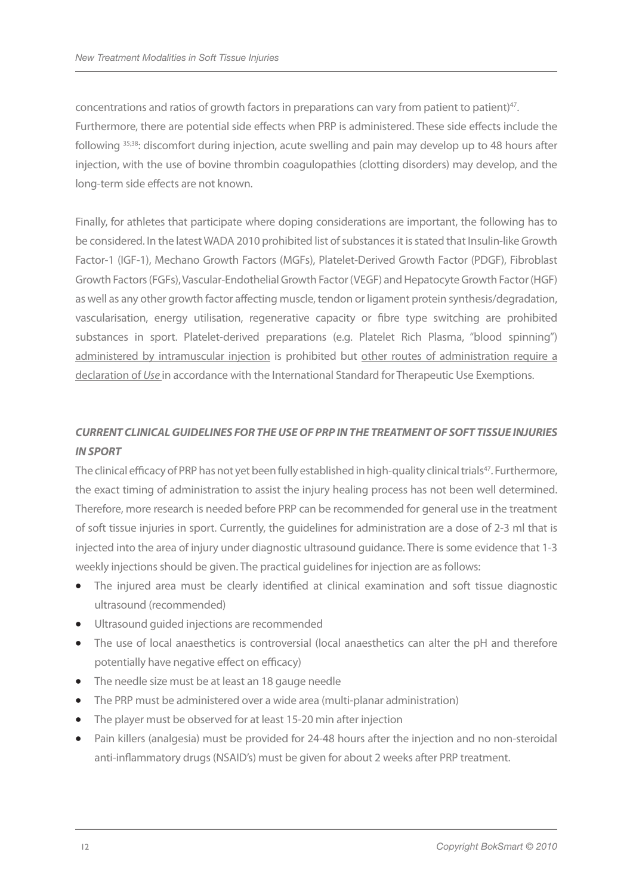concentrations and ratios of growth factors in preparations can vary from patient to patient)<sup>47</sup>. Furthermore, there are potential side effects when PRP is administered. These side effects include the following 35;38: discomfort during injection, acute swelling and pain may develop up to 48 hours after injection, with the use of bovine thrombin coagulopathies (clotting disorders) may develop, and the long-term side effects are not known.

Finally, for athletes that participate where doping considerations are important, the following has to be considered. In the latest WADA 2010 prohibited list of substances it is stated that Insulin-like Growth Factor-1 (IGF-1), Mechano Growth Factors (MGFs), Platelet-Derived Growth Factor (PDGF), Fibroblast Growth Factors (FGFs), Vascular-Endothelial Growth Factor (VEGF) and Hepatocyte Growth Factor (HGF) as well as any other growth factor affecting muscle, tendon or ligament protein synthesis/degradation, vascularisation, energy utilisation, regenerative capacity or fibre type switching are prohibited substances in sport. Platelet-derived preparations (e.g. Platelet Rich Plasma, "blood spinning") administered by intramuscular injection is prohibited but other routes of administration require a declaration of *Use* in accordance with the International Standard for Therapeutic Use Exemptions.

## *CURRENT CLINICAL GUIDELINES FOR THE USE OF PRP IN THE TREATMENT OF SOFT TISSUE INJURIES INSPORT*

The clinical efficacy of PRP has not yet been fully established in high-quality clinical trials<sup>47</sup>. Furthermore, the exact timing of administration to assist the injury healing process has not been well determined. Therefore, more research is needed before PRP can be recommended for general use in the treatment of soft tissue injuries in sport. Currently, the guidelines for administration are a dose of 2-3 ml that is injected into the area of injury under diagnostic ultrasound guidance. There is some evidence that 1-3 weekly injections should be given. The practical guidelines for injection are as follows:

- The injured area must be clearly identified at clinical examination and soft tissue diagnostic ultrasound (recommended)
- • Ultrasound guided injections are recommended
- The use of local anaesthetics is controversial (local anaesthetics can alter the pH and therefore potentially have negative effect on efficacy)
- The needle size must be at least an 18 gauge needle
- The PRP must be administered over a wide area (multi-planar administration)
- The player must be observed for at least 15-20 min after injection
- Pain killers (analgesia) must be provided for 24-48 hours after the injection and no non-steroidal anti-inflammatory drugs (NSAID's) must be given for about 2 weeks after PRP treatment.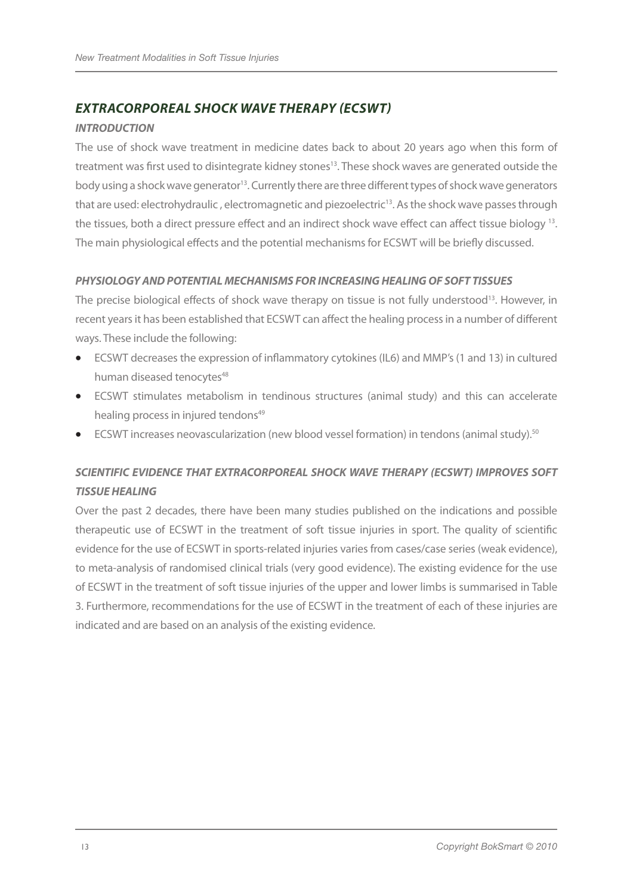## *EXTRACORPOREAL SHOCK WAVE THERAPY (ECSWT)*

#### *INTRODUCTION*

The use of shock wave treatment in medicine dates back to about 20 years ago when this form of treatment was first used to disintegrate kidney stones<sup>13</sup>. These shock waves are generated outside the body using a shock wave generator<sup>13</sup>. Currently there are three different types of shock wave generators that are used: electrohydraulic, electromagnetic and piezoelectric<sup>13</sup>. As the shock wave passes through the tissues, both a direct pressure effect and an indirect shock wave effect can affect tissue biology 13. The main physiological effects and the potential mechanisms for ECSWT will be briefly discussed.

#### *PHYSIOLOGY AND POTENTIAL MECHANISMS FOR INCREASING HEALING OF SOFT TISSUES*

The precise biological effects of shock wave therapy on tissue is not fully understood<sup>13</sup>. However, in recent years it has been established that ECSWT can affect the healing process in a number of different ways. These include the following:

- ECSWT decreases the expression of inflammatory cytokines (IL6) and MMP's (1 and 13) in cultured human diseased tenocytes<sup>48</sup>
- • ECSWT stimulates metabolism in tendinous structures (animal study) and this can accelerate healing process in injured tendons<sup>49</sup>
- ECSWT increases neovascularization (new blood vessel formation) in tendons (animal study).<sup>50</sup>

## *SCIENTIFIC EVIDENCE THAT EXTRACORPOREAL SHOCK WAVE THERAPY (ECSWT) IMPROVES SOFT TISSUE HEALING*

Over the past 2 decades, there have been many studies published on the indications and possible therapeutic use of ECSWT in the treatment of soft tissue injuries in sport. The quality of scientific evidence for the use of ECSWT in sports-related injuries varies from cases/case series (weak evidence), to meta-analysis of randomised clinical trials (very good evidence). The existing evidence for the use of ECSWT in the treatment of soft tissue injuries of the upper and lower limbs is summarised in Table 3. Furthermore, recommendations for the use of ECSWT in the treatment of each of these injuries are indicated and are based on an analysis of the existing evidence.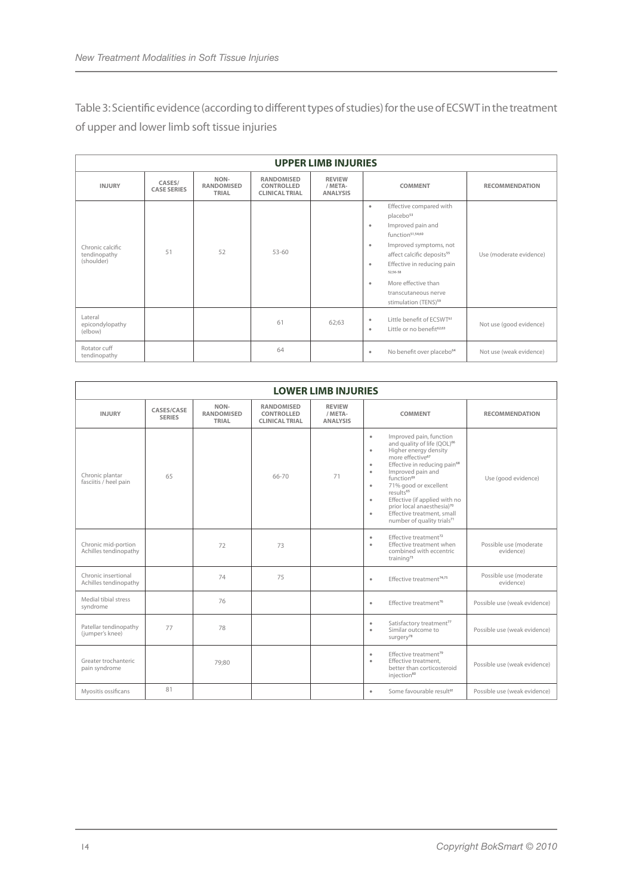Table 3: Scientific evidence (according to different types of studies) for the use of ECSWT in the treatment of upper and lower limb soft tissue injuries

| <b>UPPER LIMB INJURIES</b>                     |                              |                                    |                                                          |                                             |                                                                                                                                                                                                                                                                                                                                                                         |                         |  |
|------------------------------------------------|------------------------------|------------------------------------|----------------------------------------------------------|---------------------------------------------|-------------------------------------------------------------------------------------------------------------------------------------------------------------------------------------------------------------------------------------------------------------------------------------------------------------------------------------------------------------------------|-------------------------|--|
| <b>INJURY</b>                                  | CASES/<br><b>CASE SERIES</b> | NON-<br><b>RANDOMISED</b><br>TRIAL | <b>RANDOMISED</b><br>CONTROLLED<br><b>CLINICAL TRIAL</b> | <b>REVIEW</b><br>/ META-<br><b>ANALYSIS</b> | <b>COMMENT</b>                                                                                                                                                                                                                                                                                                                                                          | <b>RECOMMENDATION</b>   |  |
| Chronic calcific<br>tendinopathy<br>(shoulder) | 51                           | 52                                 | $53 - 60$                                                |                                             | Effective compared with<br>$\bullet$<br>placebo <sup>53</sup><br>Improved pain and<br>$\bullet$<br>function <sup>51,54,60</sup><br>Improved symptoms, not<br>$\bullet$<br>affect calcific deposits <sup>55</sup><br>Effective in reducing pain<br>$\bullet$<br>52:56-58<br>More effective than<br>$\bullet$<br>transcutaneous nerve<br>stimulation (TENS) <sup>59</sup> | Use (moderate evidence) |  |
| Lateral<br>epicondylopathy<br>(elbow)          |                              |                                    | 61                                                       | 62;63                                       | Little benefit of ECSWT <sup>61</sup><br>$\bullet$<br>Little or no benefit <sup>62;63</sup><br>٠                                                                                                                                                                                                                                                                        | Not use (good evidence) |  |
| Rotator cuff<br>tendinopathy                   |                              |                                    | 64                                                       |                                             | No benefit over placebo <sup>64</sup><br>$\bullet$                                                                                                                                                                                                                                                                                                                      | Not use (weak evidence) |  |

| <b>LOWER LIMB INJURIES</b>                   |                             |                                    |                                                          |                                             |                                                                                                                                                                                                                                                                                                                                                                                                                                                            |                                     |
|----------------------------------------------|-----------------------------|------------------------------------|----------------------------------------------------------|---------------------------------------------|------------------------------------------------------------------------------------------------------------------------------------------------------------------------------------------------------------------------------------------------------------------------------------------------------------------------------------------------------------------------------------------------------------------------------------------------------------|-------------------------------------|
| <b>INJURY</b>                                | CASES/CASE<br><b>SERIES</b> | NON-<br><b>RANDOMISED</b><br>TRIAL | <b>RANDOMISED</b><br>CONTROLLED<br><b>CLINICAL TRIAL</b> | <b>REVIEW</b><br>/ META-<br><b>ANALYSIS</b> | <b>COMMENT</b>                                                                                                                                                                                                                                                                                                                                                                                                                                             | <b>RECOMMENDATION</b>               |
| Chronic plantar<br>fasciitis / heel pain     | 65                          |                                    | 66-70                                                    | 71                                          | Improved pain, function<br>٠<br>and quality of life (QOL) <sup>66</sup><br>Higher energy density<br>$\bullet$<br>more effective <sup>67</sup><br>Effective in reducing pain <sup>68</sup><br>٠<br>Improved pain and<br>٠<br>function <sup>69</sup><br>71% good or excellent<br>٠<br>results <sup>65</sup><br>Effective (if applied with no<br>٠<br>prior local anaesthesia)70<br>Effective treatment, small<br>٠<br>number of quality trials <sup>71</sup> | Use (good evidence)                 |
| Chronic mid-portion<br>Achilles tendinopathy |                             | 72                                 | 73                                                       |                                             | Effective treatment <sup>72</sup><br>٠<br>Effective treatment when<br>٠<br>combined with eccentric<br>training <sup>73</sup>                                                                                                                                                                                                                                                                                                                               | Possible use (moderate<br>evidence) |
| Chronic insertional<br>Achilles tendinopathy |                             | 74                                 | 75                                                       |                                             | Effective treatment <sup>74;75</sup><br>٠                                                                                                                                                                                                                                                                                                                                                                                                                  | Possible use (moderate<br>evidence) |
| Medial tibial stress<br>syndrome             |                             | 76                                 |                                                          |                                             | Effective treatment <sup>76</sup><br>$\ddot{\phantom{a}}$                                                                                                                                                                                                                                                                                                                                                                                                  | Possible use (weak evidence)        |
| Patellar tendinopathy<br>(jumper's knee)     | 77                          | 78                                 |                                                          |                                             | Satisfactory treatment <sup>77</sup><br>٠<br>Similar outcome to<br>٠<br>surgery <sup>78</sup>                                                                                                                                                                                                                                                                                                                                                              | Possible use (weak evidence)        |
| Greater trochanteric<br>pain syndrome        |                             | 79:80                              |                                                          |                                             | Effective treatment <sup>79</sup><br>٠<br>Effective treatment.<br>٠<br>better than corticosteroid<br>injection <sup>80</sup>                                                                                                                                                                                                                                                                                                                               | Possible use (weak evidence)        |
| Myositis ossificans                          | 81                          |                                    |                                                          |                                             | Some favourable result <sup>81</sup><br>٠                                                                                                                                                                                                                                                                                                                                                                                                                  | Possible use (weak evidence)        |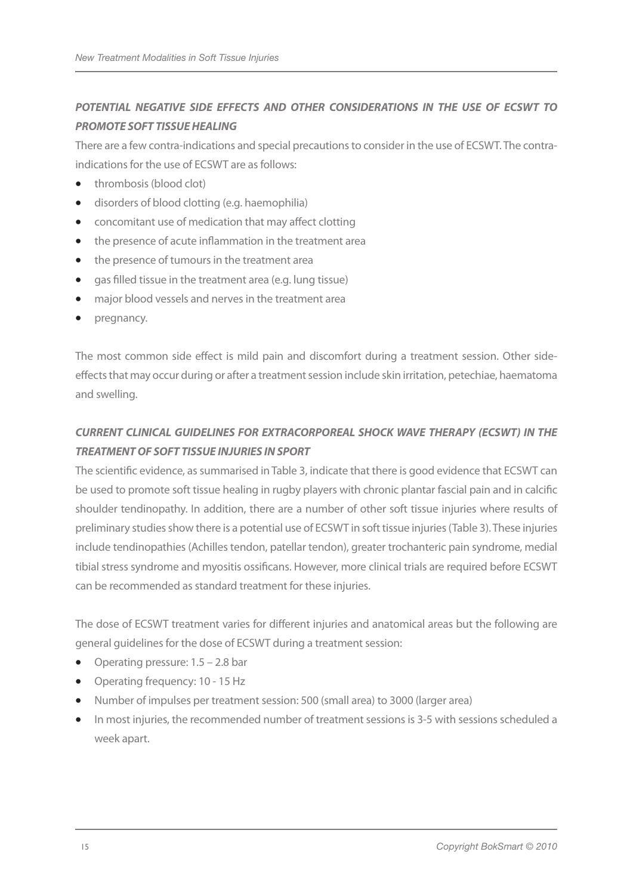## *POTENTIAL NEGATIVE SIDE EFFECTS AND OTHER CONSIDERATIONS IN THE USE OF ECSWT TO PROMOTE SOFT TISSUE HEALING*

There are a few contra-indications and special precautions to consider in the use of ECSWT. The contraindications for the use of ECSWT are as follows:

- thrombosis (blood clot)
- • disorders of blood clotting (e.g. haemophilia)
- • concomitant use of medication that may affect clotting
- the presence of acute inflammation in the treatment area
- the presence of tumours in the treatment area
- gas filled tissue in the treatment area (e.g. lung tissue)
- major blood vessels and nerves in the treatment area
- • pregnancy.

The most common side effect is mild pain and discomfort during a treatment session. Other sideeffects that may occur during or after a treatment session include skin irritation, petechiae, haematoma and swelling.

## *CURRENT CLINICAL GUIDELINES FOR EXTRACORPOREAL SHOCK WAVE THERAPY (ECSWT) IN THE TREATMENT OF SOFT TISSUE INJURIES INSPORT*

The scientific evidence, as summarised in Table 3, indicate that there is good evidence that ECSWT can be used to promote soft tissue healing in rugby players with chronic plantar fascial pain and in calcific shoulder tendinopathy. In addition, there are a number of other soft tissue injuries where results of preliminary studies show there is a potential use of ECSWT in soft tissue injuries (Table 3). These injuries include tendinopathies (Achilles tendon, patellar tendon), greater trochanteric pain syndrome, medial tibial stress syndrome and myositis ossificans. However, more clinical trials are required before ECSWT can be recommended as standard treatment for these injuries.

The dose of ECSWT treatment varies for different injuries and anatomical areas but the following are general guidelines for the dose of ECSWT during a treatment session:

- Operating pressure:  $1.5 2.8$  bar
- Operating frequency: 10 15 Hz
- Number of impulses per treatment session: 500 (small area) to 3000 (larger area)
- In most injuries, the recommended number of treatment sessions is 3-5 with sessions scheduled a week apart.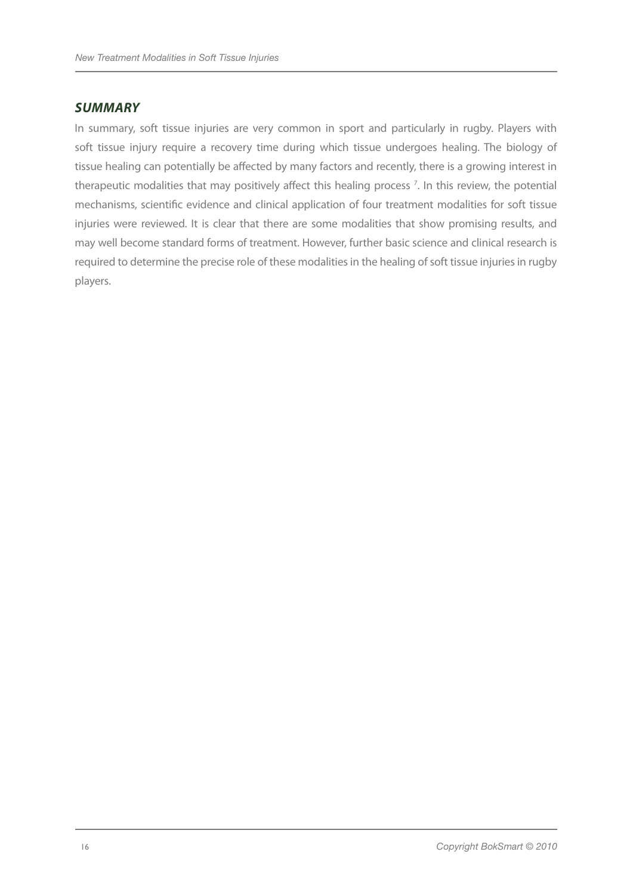#### *SUMMARY*

In summary, soft tissue injuries are very common in sport and particularly in rugby. Players with soft tissue injury require a recovery time during which tissue undergoes healing. The biology of tissue healing can potentially be affected by many factors and recently, there is a growing interest in therapeutic modalities that may positively affect this healing process<sup>7</sup>. In this review, the potential mechanisms, scientific evidence and clinical application of four treatment modalities for soft tissue injuries were reviewed. It is clear that there are some modalities that show promising results, and may well become standard forms of treatment. However, further basic science and clinical research is required to determine the precise role of these modalities in the healing of soft tissue injuries in rugby players.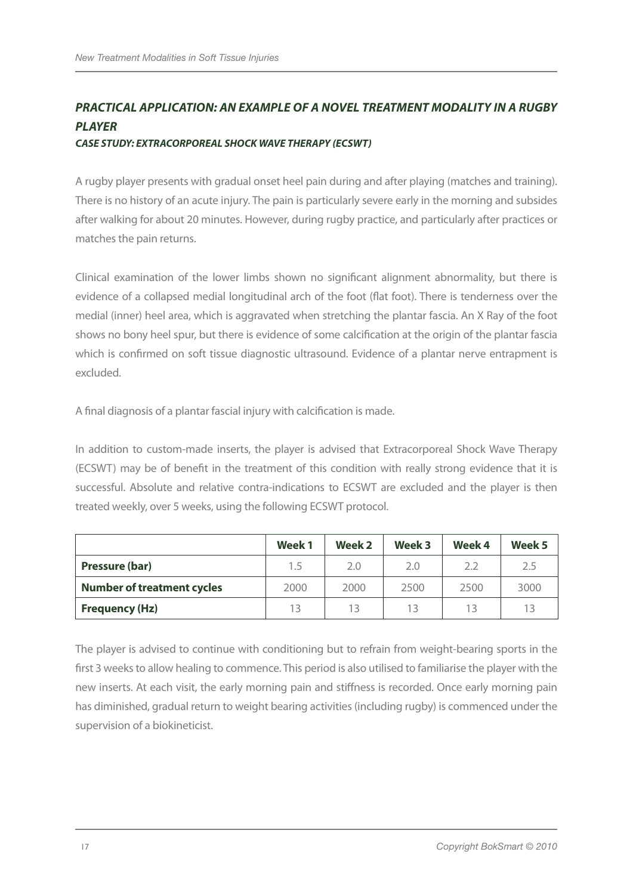## *PRACTICAL APPLICATION: AN EXAMPLE OF A NOVEL TREATMENT MODALITY IN A RUGBY PLAYER*

#### *CASE STUDY: EXTRACORPOREAL SHOCK WAVE THERAPY (ECSWT)*

A rugby player presents with gradual onset heel pain during and after playing (matches and training). There is no history of an acute injury. The pain is particularly severe early in the morning and subsides after walking for about 20 minutes. However, during rugby practice, and particularly after practices or matches the pain returns.

Clinical examination of the lower limbs shown no significant alignment abnormality, but there is evidence of a collapsed medial longitudinal arch of the foot (flat foot). There is tenderness over the medial (inner) heel area, which is aggravated when stretching the plantar fascia. An X Ray of the foot shows no bony heel spur, but there is evidence of some calcification at the origin of the plantar fascia which is confirmed on soft tissue diagnostic ultrasound. Evidence of a plantar nerve entrapment is excluded.

A final diagnosis of a plantar fascial injury with calcification is made.

In addition to custom-made inserts, the player is advised that Extracorporeal Shock Wave Therapy (ECSWT) may be of benefit in the treatment of this condition with really strong evidence that it is successful. Absolute and relative contra-indications to ECSWT are excluded and the player is then treated weekly, over 5 weeks, using the following ECSWT protocol.

|                                   | Week 1 | Week 2 | Week 3 | Week 4 | Week 5 |
|-----------------------------------|--------|--------|--------|--------|--------|
| Pressure (bar)                    | 1.5    | 2.0    | 2.0    | 2.2    | 2.5    |
| <b>Number of treatment cycles</b> | 2000   | 2000   | 2500   | 2500   | 3000   |
| <b>Frequency (Hz)</b>             | 13     |        | 13     | 13     | 13     |

The player is advised to continue with conditioning but to refrain from weight-bearing sports in the first 3 weeks to allow healing to commence. This period is also utilised to familiarise the player with the new inserts. At each visit, the early morning pain and stiffness is recorded. Once early morning pain has diminished, gradual return to weight bearing activities (including rugby) is commenced under the supervision of a biokineticist.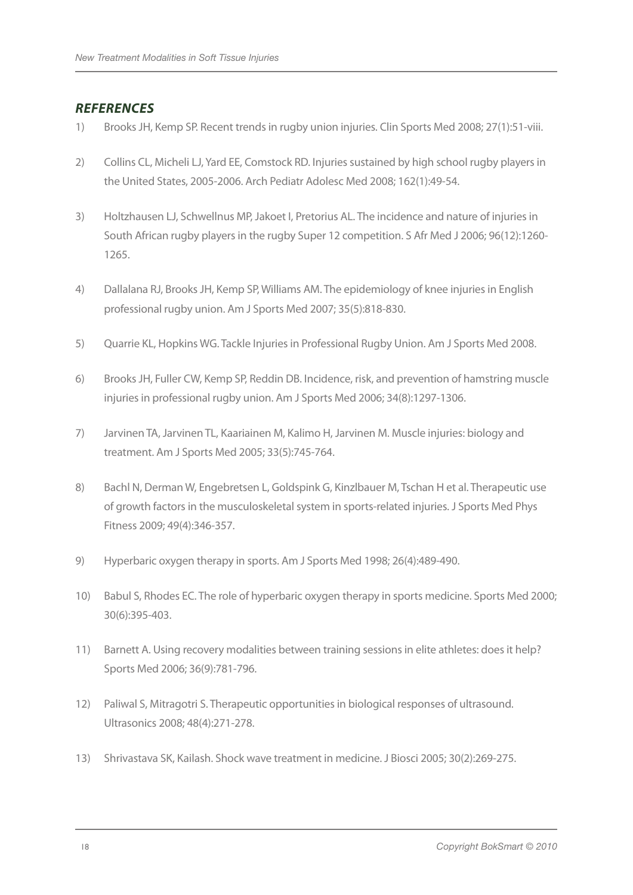## *REFERENCES*

- 1) Brooks JH, Kemp SP. Recent trends in rugby union injuries. Clin Sports Med 2008; 27(1):51-viii.
- 2) Collins CL, Micheli LJ, Yard EE, Comstock RD. Injuries sustained by high school rugby players in the United States, 2005-2006. Arch Pediatr Adolesc Med 2008; 162(1):49-54.
- 3) Holtzhausen LJ, Schwellnus MP, Jakoet I, Pretorius AL. The incidence and nature of injuries in South African rugby players in the rugby Super 12 competition. S Afr Med J 2006; 96(12):1260- 1265.
- 4) Dallalana RJ, Brooks JH, Kemp SP, Williams AM. The epidemiology of knee injuries in English professional rugby union. Am J Sports Med 2007; 35(5):818-830.
- 5) Quarrie KL, Hopkins WG. Tackle Injuries in Professional Rugby Union. Am J Sports Med 2008.
- 6) Brooks JH, Fuller CW, Kemp SP, Reddin DB. Incidence, risk, and prevention of hamstring muscle injuries in professional rugby union. Am J Sports Med 2006; 34(8):1297-1306.
- 7) Jarvinen TA, Jarvinen TL, Kaariainen M, Kalimo H, Jarvinen M. Muscle injuries: biology and treatment. Am J Sports Med 2005; 33(5):745-764.
- 8) Bachl N, Derman W, Engebretsen L, Goldspink G, Kinzlbauer M, Tschan H et al. Therapeutic use of growth factors in the musculoskeletal system in sports-related injuries. J Sports Med Phys Fitness 2009; 49(4):346-357.
- 9) Hyperbaric oxygen therapy in sports. Am J Sports Med 1998; 26(4):489-490.
- 10) Babul S, Rhodes EC. The role of hyperbaric oxygen therapy in sports medicine. Sports Med 2000; 30(6):395-403.
- 11) Barnett A. Using recovery modalities between training sessions in elite athletes: does it help? Sports Med 2006; 36(9):781-796.
- 12) Paliwal S, Mitragotri S. Therapeutic opportunities in biological responses of ultrasound. Ultrasonics 2008; 48(4):271-278.
- 13) Shrivastava SK, Kailash. Shock wave treatment in medicine. J Biosci 2005; 30(2):269-275.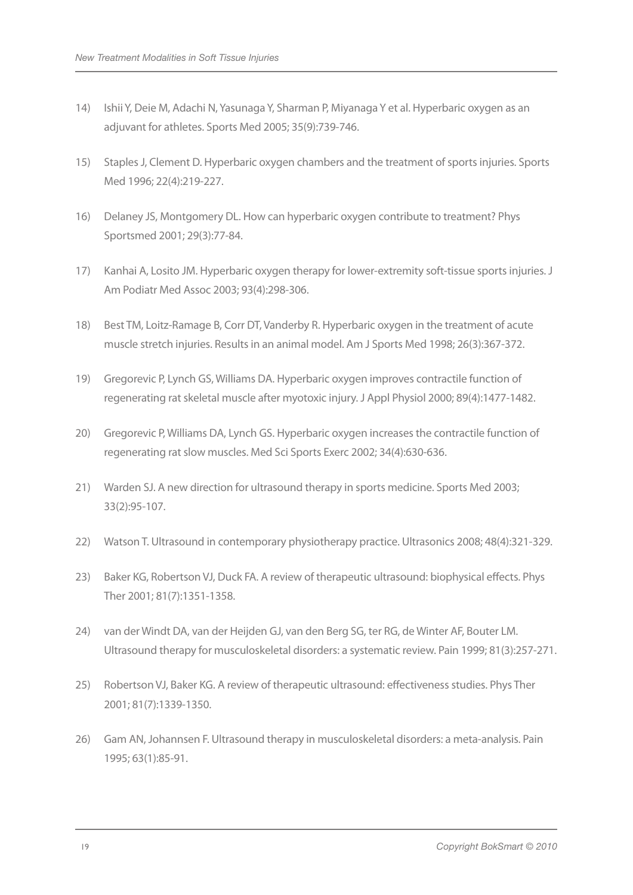- 14) Ishii Y, Deie M, Adachi N, Yasunaga Y, Sharman P, Miyanaga Y et al. Hyperbaric oxygen as an adjuvant for athletes. Sports Med 2005; 35(9):739-746.
- 15) Staples J, Clement D. Hyperbaric oxygen chambers and the treatment of sports injuries. Sports Med 1996; 22(4):219-227.
- 16) Delaney JS, Montgomery DL. How can hyperbaric oxygen contribute to treatment? Phys Sportsmed 2001; 29(3):77-84.
- 17) Kanhai A, Losito JM. Hyperbaric oxygen therapy for lower-extremity soft-tissue sports injuries. J Am Podiatr Med Assoc 2003; 93(4):298-306.
- 18) Best TM, Loitz-Ramage B, Corr DT, Vanderby R. Hyperbaric oxygen in the treatment of acute muscle stretch injuries. Results in an animal model. Am J Sports Med 1998; 26(3):367-372.
- 19) Gregorevic P, Lynch GS, Williams DA. Hyperbaric oxygen improves contractile function of regenerating rat skeletal muscle after myotoxic injury. J Appl Physiol 2000; 89(4):1477-1482.
- 20) Gregorevic P, Williams DA, Lynch GS. Hyperbaric oxygen increases the contractile function of regenerating rat slow muscles. Med Sci Sports Exerc 2002; 34(4):630-636.
- 21) Warden SJ. A new direction for ultrasound therapy in sports medicine. Sports Med 2003; 33(2):95-107.
- 22) Watson T. Ultrasound in contemporary physiotherapy practice. Ultrasonics 2008; 48(4):321-329.
- 23) Baker KG, Robertson VJ, Duck FA. A review of therapeutic ultrasound: biophysical effects. Phys Ther 2001; 81(7):1351-1358.
- 24) van der Windt DA, van der Heijden GJ, van den Berg SG, ter RG, de Winter AF, Bouter LM. Ultrasound therapy for musculoskeletal disorders: a systematic review. Pain 1999; 81(3):257-271.
- 25) Robertson VJ, Baker KG. A review of therapeutic ultrasound: effectiveness studies. Phys Ther 2001; 81(7):1339-1350.
- 26) Gam AN, Johannsen F. Ultrasound therapy in musculoskeletal disorders: a meta-analysis. Pain 1995; 63(1):85-91.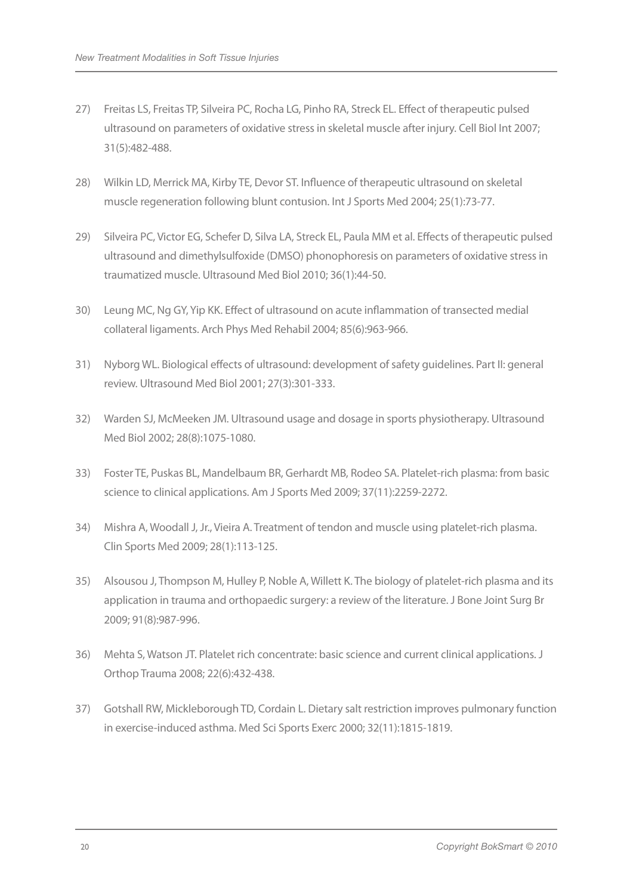- 27) Freitas LS, Freitas TP, Silveira PC, Rocha LG, Pinho RA, Streck EL. Effect of therapeutic pulsed ultrasound on parameters of oxidative stress in skeletal muscle after injury. Cell Biol Int 2007; 31(5):482-488.
- 28) Wilkin LD, Merrick MA, Kirby TE, Devor ST. Influence of therapeutic ultrasound on skeletal muscle regeneration following blunt contusion. Int J Sports Med 2004; 25(1):73-77.
- 29) Silveira PC, Victor EG, Schefer D, Silva LA, Streck EL, Paula MM et al. Effects of therapeutic pulsed ultrasound and dimethylsulfoxide (DMSO) phonophoresis on parameters of oxidative stress in traumatized muscle. Ultrasound Med Biol 2010; 36(1):44-50.
- 30) Leung MC, Ng GY, Yip KK. Effect of ultrasound on acute inflammation of transected medial collateral ligaments. Arch Phys Med Rehabil 2004; 85(6):963-966.
- 31) Nyborg WL. Biological effects of ultrasound: development of safety guidelines. Part II: general review. Ultrasound Med Biol 2001; 27(3):301-333.
- 32) Warden SJ, McMeeken JM. Ultrasound usage and dosage in sports physiotherapy. Ultrasound Med Biol 2002; 28(8):1075-1080.
- 33) Foster TE, Puskas BL, Mandelbaum BR, Gerhardt MB, Rodeo SA. Platelet-rich plasma: from basic science to clinical applications. Am J Sports Med 2009; 37(11):2259-2272.
- 34) Mishra A, Woodall J, Jr., Vieira A. Treatment of tendon and muscle using platelet-rich plasma. Clin Sports Med 2009; 28(1):113-125.
- 35) Alsousou J, Thompson M, Hulley P, Noble A, Willett K. The biology of platelet-rich plasma and its application in trauma and orthopaedic surgery: a review of the literature. J Bone Joint Surg Br 2009; 91(8):987-996.
- 36) Mehta S, Watson JT. Platelet rich concentrate: basic science and current clinical applications. J Orthop Trauma 2008; 22(6):432-438.
- 37) Gotshall RW, Mickleborough TD, Cordain L. Dietary salt restriction improves pulmonary function in exercise-induced asthma. Med Sci Sports Exerc 2000; 32(11):1815-1819.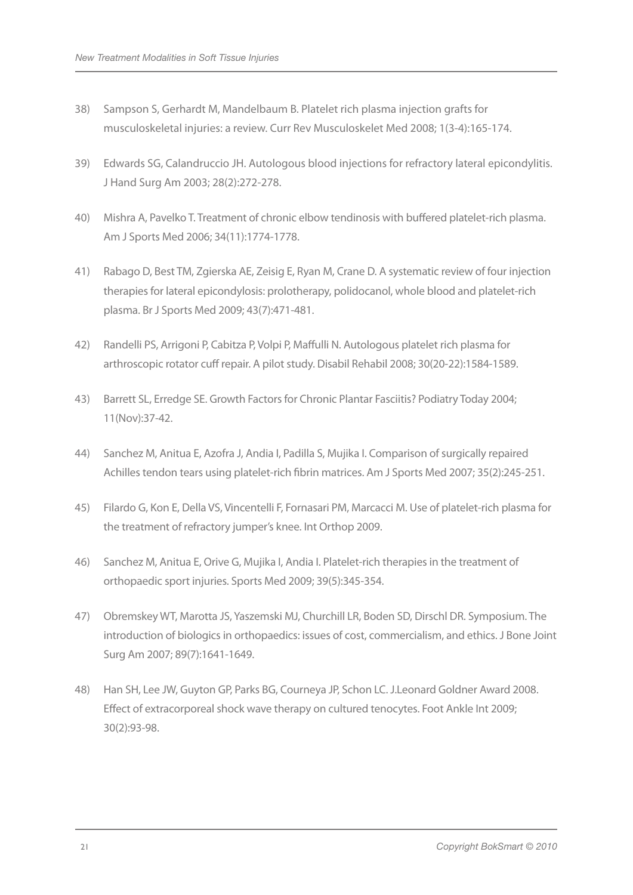- 38) Sampson S, Gerhardt M, Mandelbaum B. Platelet rich plasma injection grafts for musculoskeletal injuries: a review. Curr Rev Musculoskelet Med 2008; 1(3-4):165-174.
- 39) Edwards SG, Calandruccio JH. Autologous blood injections for refractory lateral epicondylitis. J Hand Surg Am 2003; 28(2):272-278.
- 40) Mishra A, Pavelko T. Treatment of chronic elbow tendinosis with buffered platelet-rich plasma. Am J Sports Med 2006; 34(11):1774-1778.
- 41) Rabago D, Best TM, Zgierska AE, Zeisig E, Ryan M, Crane D. A systematic review of four injection therapies for lateral epicondylosis: prolotherapy, polidocanol, whole blood and platelet-rich plasma. Br J Sports Med 2009; 43(7):471-481.
- 42) Randelli PS, Arrigoni P, Cabitza P, Volpi P, Maffulli N. Autologous platelet rich plasma for arthroscopic rotator cuff repair. A pilot study. Disabil Rehabil 2008; 30(20-22):1584-1589.
- 43) Barrett SL, Erredge SE. Growth Factors for Chronic Plantar Fasciitis? Podiatry Today 2004; 11(Nov):37-42.
- 44) Sanchez M, Anitua E, Azofra J, Andia I, Padilla S, Mujika I. Comparison of surgically repaired Achilles tendon tears using platelet-rich fibrin matrices. Am J Sports Med 2007; 35(2):245-251.
- 45) Filardo G, Kon E, Della VS, Vincentelli F, Fornasari PM, Marcacci M. Use of platelet-rich plasma for the treatment of refractory jumper's knee. Int Orthop 2009.
- 46) Sanchez M, Anitua E, Orive G, Mujika I, Andia I. Platelet-rich therapies in the treatment of orthopaedic sport injuries. Sports Med 2009; 39(5):345-354.
- 47) Obremskey WT, Marotta JS, Yaszemski MJ, Churchill LR, Boden SD, Dirschl DR. Symposium. The introduction of biologics in orthopaedics: issues of cost, commercialism, and ethics. J Bone Joint Surg Am 2007; 89(7):1641-1649.
- 48) Han SH, Lee JW, Guyton GP, Parks BG, Courneya JP, Schon LC. J.Leonard Goldner Award 2008. Effect of extracorporeal shock wave therapy on cultured tenocytes. Foot Ankle Int 2009; 30(2):93-98.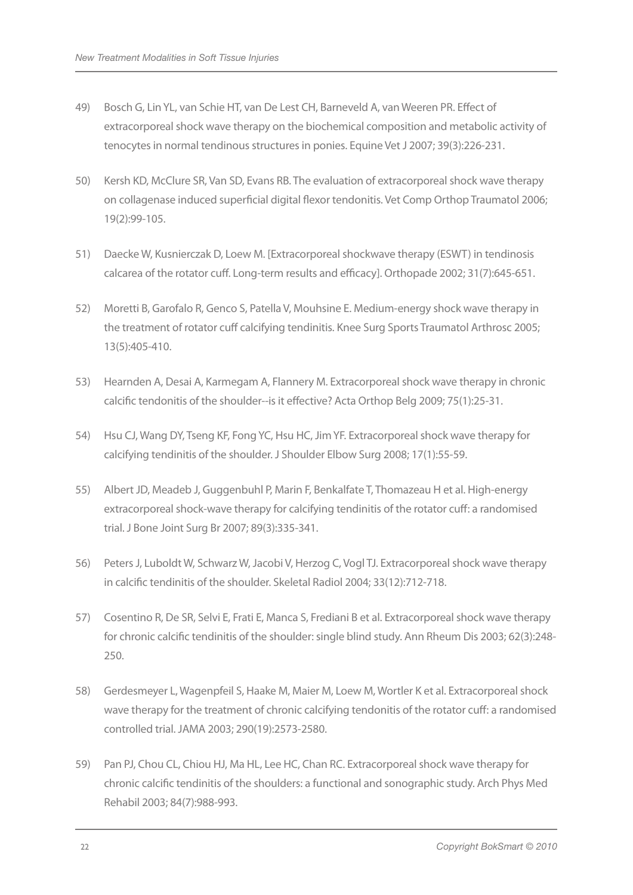- 49) Bosch G, Lin YL, van Schie HT, van De Lest CH, Barneveld A, van Weeren PR. Effect of extracorporeal shock wave therapy on the biochemical composition and metabolic activity of tenocytes in normal tendinous structures in ponies. Equine Vet J 2007; 39(3):226-231.
- 50) Kersh KD, McClure SR, Van SD, Evans RB. The evaluation of extracorporeal shock wave therapy on collagenase induced superficial digital flexor tendonitis. Vet Comp Orthop Traumatol 2006; 19(2):99-105.
- 51) Daecke W, Kusnierczak D, Loew M. [Extracorporeal shockwave therapy (ESWT) in tendinosis calcarea of the rotator cuff. Long-term results and efficacy]. Orthopade 2002; 31(7):645-651.
- 52) Moretti B, Garofalo R, Genco S, Patella V, Mouhsine E. Medium-energy shock wave therapy in the treatment of rotator cuff calcifying tendinitis. Knee Surg Sports Traumatol Arthrosc 2005; 13(5):405-410.
- 53) Hearnden A, Desai A, Karmegam A, Flannery M. Extracorporeal shock wave therapy in chronic calcific tendonitis of the shoulder--is it effective? Acta Orthop Belg 2009; 75(1):25-31.
- 54) Hsu CJ, Wang DY, Tseng KF, Fong YC, Hsu HC, Jim YF. Extracorporeal shock wave therapy for calcifying tendinitis of the shoulder. J Shoulder Elbow Surg 2008; 17(1):55-59.
- 55) Albert JD, Meadeb J, Guggenbuhl P, Marin F, Benkalfate T, Thomazeau H et al. High-energy extracorporeal shock-wave therapy for calcifying tendinitis of the rotator cuff: a randomised trial. J Bone Joint Surg Br 2007; 89(3):335-341.
- 56) Peters J, Luboldt W, Schwarz W, Jacobi V, Herzog C, Vogl TJ. Extracorporeal shock wave therapy in calcific tendinitis of the shoulder. Skeletal Radiol 2004; 33(12):712-718.
- 57) Cosentino R, De SR, Selvi E, Frati E, Manca S, Frediani B et al. Extracorporeal shock wave therapy for chronic calcific tendinitis of the shoulder: single blind study. Ann Rheum Dis 2003; 62(3):248- 250.
- 58) Gerdesmeyer L, Wagenpfeil S, Haake M, Maier M, Loew M, Wortler K et al. Extracorporeal shock wave therapy for the treatment of chronic calcifying tendonitis of the rotator cuff: a randomised controlled trial. JAMA 2003; 290(19):2573-2580.
- 59) Pan PJ, Chou CL, Chiou HJ, Ma HL, Lee HC, Chan RC. Extracorporeal shock wave therapy for chronic calcific tendinitis of the shoulders: a functional and sonographic study. Arch Phys Med Rehabil 2003; 84(7):988-993.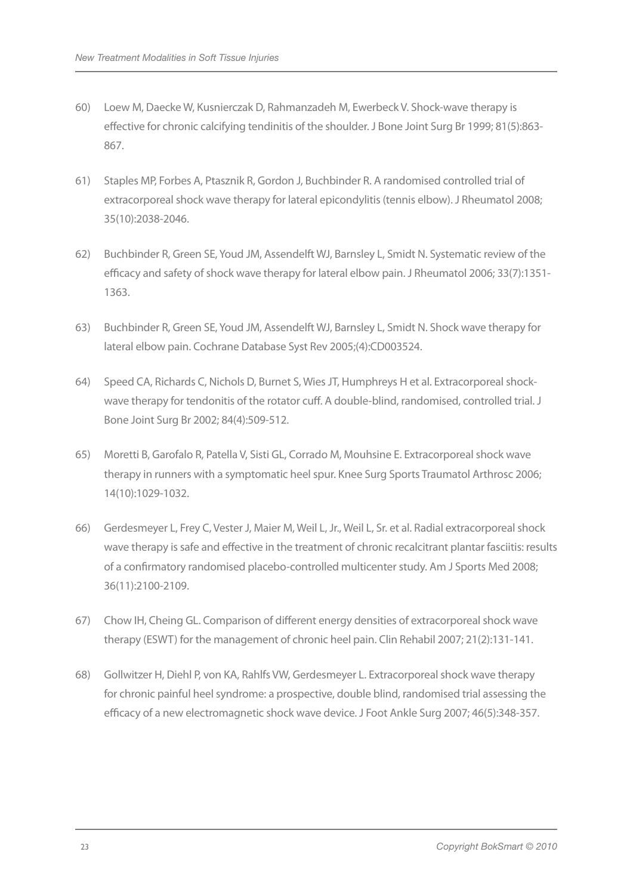- 60) Loew M, Daecke W, Kusnierczak D, Rahmanzadeh M, Ewerbeck V. Shock-wave therapy is effective for chronic calcifying tendinitis of the shoulder. J Bone Joint Surg Br 1999; 81(5):863- 867.
- 61) Staples MP, Forbes A, Ptasznik R, Gordon J, Buchbinder R. A randomised controlled trial of extracorporeal shock wave therapy for lateral epicondylitis (tennis elbow). J Rheumatol 2008; 35(10):2038-2046.
- 62) Buchbinder R, Green SE, Youd JM, Assendelft WJ, Barnsley L, Smidt N. Systematic review of the efficacy and safety of shock wave therapy for lateral elbow pain. J Rheumatol 2006; 33(7):1351- 1363.
- 63) Buchbinder R, Green SE, Youd JM, Assendelft WJ, Barnsley L, Smidt N. Shock wave therapy for lateral elbow pain. Cochrane Database Syst Rev 2005;(4):CD003524.
- 64) Speed CA, Richards C, Nichols D, Burnet S, Wies JT, Humphreys H et al. Extracorporeal shockwave therapy for tendonitis of the rotator cuff. A double-blind, randomised, controlled trial. J Bone Joint Surg Br 2002; 84(4):509-512.
- 65) Moretti B, Garofalo R, Patella V, Sisti GL, Corrado M, Mouhsine E. Extracorporeal shock wave therapy in runners with a symptomatic heel spur. Knee Surg Sports Traumatol Arthrosc 2006; 14(10):1029-1032.
- 66) Gerdesmeyer L, Frey C, Vester J, Maier M, Weil L, Jr., Weil L, Sr. et al. Radial extracorporeal shock wave therapy is safe and effective in the treatment of chronic recalcitrant plantar fasciitis: results of a confirmatory randomised placebo-controlled multicenter study. Am J Sports Med 2008; 36(11):2100-2109.
- 67) Chow IH, Cheing GL. Comparison of different energy densities of extracorporeal shock wave therapy (ESWT) for the management of chronic heel pain. Clin Rehabil 2007; 21(2):131-141.
- 68) Gollwitzer H, Diehl P, von KA, Rahlfs VW, Gerdesmeyer L. Extracorporeal shock wave therapy for chronic painful heel syndrome: a prospective, double blind, randomised trial assessing the efficacy of a new electromagnetic shock wave device. J Foot Ankle Surg 2007; 46(5):348-357.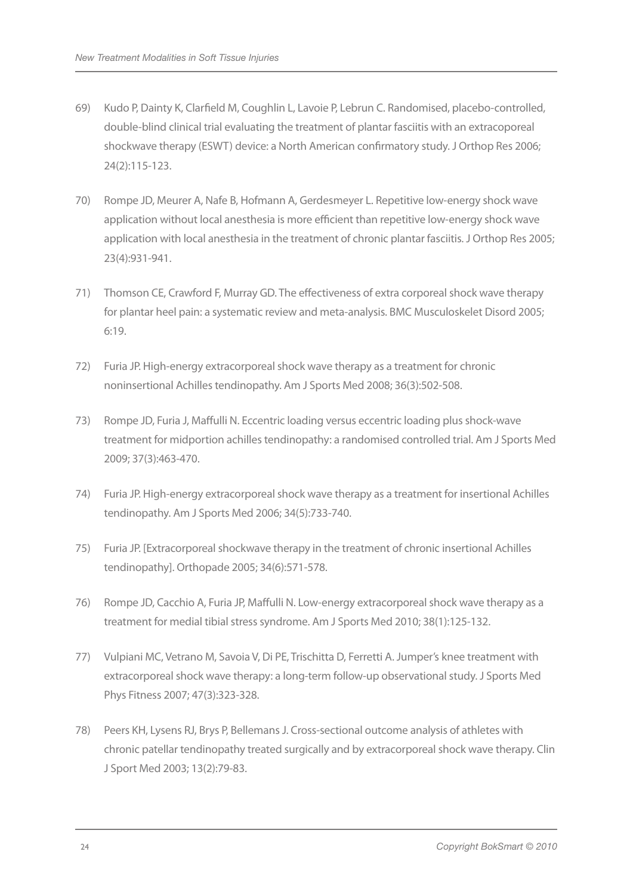- 69) Kudo P, Dainty K, Clarfield M, Coughlin L, Lavoie P, Lebrun C. Randomised, placebo-controlled, double-blind clinical trial evaluating the treatment of plantar fasciitis with an extracoporeal shockwave therapy (ESWT) device: a North American confirmatory study. J Orthop Res 2006; 24(2):115-123.
- 70) Rompe JD, Meurer A, Nafe B, Hofmann A, Gerdesmeyer L. Repetitive low-energy shock wave application without local anesthesia is more efficient than repetitive low-energy shock wave application with local anesthesia in the treatment of chronic plantar fasciitis. J Orthop Res 2005; 23(4):931-941.
- 71) Thomson CE, Crawford F, Murray GD. The effectiveness of extra corporeal shock wave therapy for plantar heel pain: a systematic review and meta-analysis. BMC Musculoskelet Disord 2005; 6:19.
- 72) Furia JP. High-energy extracorporeal shock wave therapy as a treatment for chronic noninsertional Achilles tendinopathy. Am J Sports Med 2008; 36(3):502-508.
- 73) Rompe JD, Furia J, Maffulli N. Eccentric loading versus eccentric loading plus shock-wave treatment for midportion achilles tendinopathy: a randomised controlled trial. Am J Sports Med 2009; 37(3):463-470.
- 74) Furia JP. High-energy extracorporeal shock wave therapy as a treatment for insertional Achilles tendinopathy. Am J Sports Med 2006; 34(5):733-740.
- 75) Furia JP. [Extracorporeal shockwave therapy in the treatment of chronic insertional Achilles tendinopathy]. Orthopade 2005; 34(6):571-578.
- 76) Rompe JD, Cacchio A, Furia JP, Maffulli N. Low-energy extracorporeal shock wave therapy as a treatment for medial tibial stress syndrome. Am J Sports Med 2010; 38(1):125-132.
- 77) Vulpiani MC, Vetrano M, Savoia V, Di PE, Trischitta D, Ferretti A. Jumper's knee treatment with extracorporeal shock wave therapy: a long-term follow-up observational study. J Sports Med Phys Fitness 2007; 47(3):323-328.
- 78) Peers KH, Lysens RJ, Brys P, Bellemans J. Cross-sectional outcome analysis of athletes with chronic patellar tendinopathy treated surgically and by extracorporeal shock wave therapy. Clin J Sport Med 2003; 13(2):79-83.